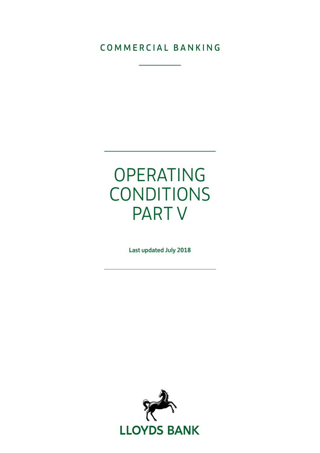## COMMERCIAL BANKING

## OPERATING CONDITIONS PART V

Last updated July 2018

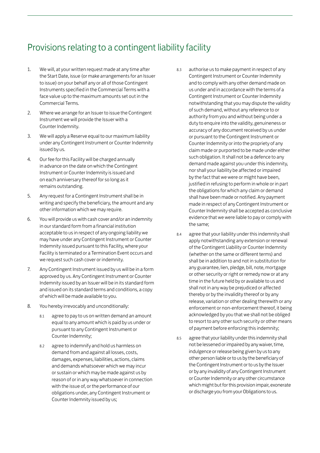## Provisions relating to a contingent liability facility

- 1. We will, at your written request made at any time after the Start Date, issue (or make arrangements for an Issuer to issue) on your behalf any or all of those Contingent Instruments specified in the Commercial Terms with a face value up to the maximum amounts set out in the Commercial Terms.
- 2. Where we arrange for an Issuer to issue the Contingent Instrument we will provide the Issuer with a Counter Indemnity.
- 3. We will apply a Reserve equal to our maximum liability under any Contingent Instrument or Counter Indemnity issued by us.
- 4. Our fee for this Facility will be charged annually in advance on the date on which the Contingent Instrument or Counter Indemnity is issued and on each anniversary thereof for so long as it remains outstanding.
- 5. Any request for a Contingent Instrument shall be in writing and specify the beneficiary, the amount and any other information which we may require.
- 6. You will provide us with cash cover and/or an indemnity in our standard form from a financial institution acceptable to us in respect of any ongoing liability we may have under any Contingent Instrument or Counter Indemnity issued pursuant to this Facility, where your Facility is terminated or a Termination Event occurs and we request such cash cover or indemnity.
- 7. Any Contingent Instrument issued by us will be in a form approved by us. Any Contingent Instrument or Counter Indemnity issued by an Issuer will be in its standard form and issued on its standard terms and conditions, a copy of which will be made available to you.
- 8. You hereby irrevocably and unconditionally:
	- 8.1 agree to pay to us on written demand an amount equal to any amount which is paid by us under or pursuant to any Contingent Instrument or Counter Indemnity;
	- 8.2 agree to indemnify and hold us harmless on demand from and against all losses, costs, damages, expenses, liabilities, actions, claims and demands whatsoever which we may incur or sustain or which may be made against us by reason of or in any way whatsoever in connection with the issue of, or the performance of our obligations under, any Contingent Instrument or Counter Indemnity issued by us;
- 8.3 authorise us to make payment in respect of any Contingent Instrument or Counter Indemnity and to comply with any other demand made on us under and in accordance with the terms of a Contingent Instrument or Counter Indemnity notwithstanding that you may dispute the validity of such demand, without any reference to or authority from you and without being under a duty to enquire into the validity, genuineness or accuracy of any document received by us under or pursuant to the Contingent Instrument or Counter Indemnity or into the propriety of any claim made or purported to be made under either such obligation. It shall not be a defence to any demand made against you under this indemnity, nor shall your liability be affected or impaired by the fact that we were or might have been, justified in refusing to perform in whole or in part the obligations for which any claim or demand shall have been made or notified. Any payment made in respect of any Contingent Instrument or Counter Indemnity shall be accepted as conclusive evidence that we were liable to pay or comply with the same;
- 8.4 agree that your liability under this indemnity shall apply notwithstanding any extension or renewal of the Contingent Liability or Counter Indemnity (whether on the same or different terms) and shall be in addition to and not in substitution for any guarantee, lien, pledge, bill, note, mortgage or other security or right or remedy now or at any time in the future held by or available to us and shall not in any way be prejudiced or affected thereby or by the invalidity thereof or by any release, variation or other dealing therewith or any enforcement or non-enforcement thereof, it being acknowledged by you that we shall not be obliged to resort to any other such security or other means of payment before enforcing this indemnity;
- 8.5 agree that your liability under this indemnity shall not be lessened or impaired by any waiver, time, indulgence or release being given by us to any other person liable or to us by the beneficiary of the Contingent Instrument or to us by the Issuer or by any invalidity of any Contingent Instrument or Counter Indemnity or any other circumstance which might but for this provision impair, exonerate or discharge you from your Obligations to us.